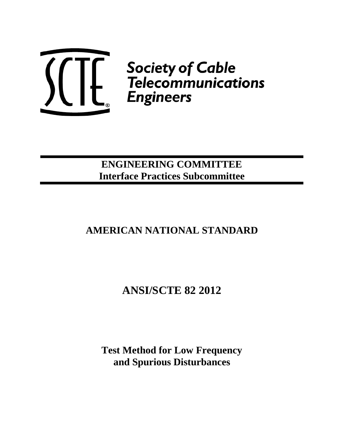

*Society of Cable*<br>
Lette Generalisations<br>
Engineers

**ENGINEERING COMMITTEE Interface Practices Subcommittee**

# **AMERICAN NATIONAL STANDARD**

# **ANSI/SCTE 82 2012**

**Test Method for Low Frequency and Spurious Disturbances**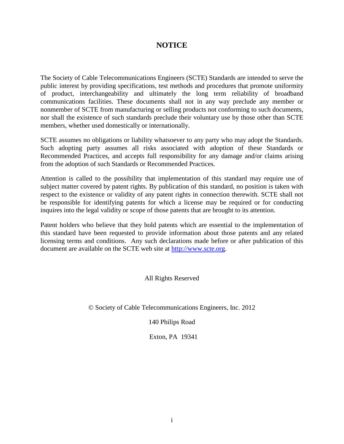## **NOTICE**

The Society of Cable Telecommunications Engineers (SCTE) Standards are intended to serve the public interest by providing specifications, test methods and procedures that promote uniformity of product, interchangeability and ultimately the long term reliability of broadband communications facilities. These documents shall not in any way preclude any member or nonmember of SCTE from manufacturing or selling products not conforming to such documents, nor shall the existence of such standards preclude their voluntary use by those other than SCTE members, whether used domestically or internationally.

SCTE assumes no obligations or liability whatsoever to any party who may adopt the Standards. Such adopting party assumes all risks associated with adoption of these Standards or Recommended Practices, and accepts full responsibility for any damage and/or claims arising from the adoption of such Standards or Recommended Practices.

Attention is called to the possibility that implementation of this standard may require use of subject matter covered by patent rights. By publication of this standard, no position is taken with respect to the existence or validity of any patent rights in connection therewith. SCTE shall not be responsible for identifying patents for which a license may be required or for conducting inquires into the legal validity or scope of those patents that are brought to its attention.

Patent holders who believe that they hold patents which are essential to the implementation of this standard have been requested to provide information about those patents and any related licensing terms and conditions. Any such declarations made before or after publication of this document are available on the SCTE web site at [http://www.scte.org.](http://www.scte.org/)

All Rights Reserved

© Society of Cable Telecommunications Engineers, Inc. 2012

140 Philips Road

Exton, PA 19341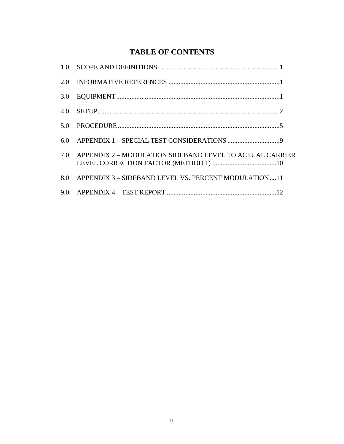## **TABLE OF CONTENTS**

| 3.0           |                                                              |
|---------------|--------------------------------------------------------------|
|               |                                                              |
|               |                                                              |
| $6.0^{\circ}$ |                                                              |
|               | 7.0 APPENDIX 2 - MODULATION SIDEBAND LEVEL TO ACTUAL CARRIER |
|               | 8.0 APPENDIX 3 – SIDEBAND LEVEL VS. PERCENT MODULATION11     |
|               |                                                              |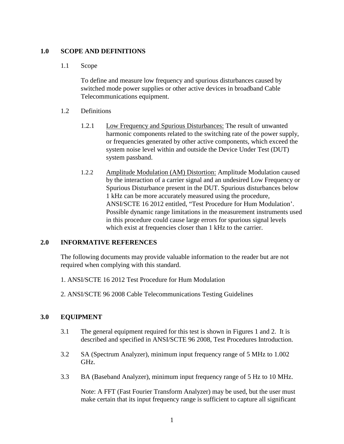#### **1.0 SCOPE AND DEFINITIONS**

#### 1.1 Scope

To define and measure low frequency and spurious disturbances caused by switched mode power supplies or other active devices in broadband Cable Telecommunications equipment.

#### 1.2 Definitions

- 1.2.1 Low Frequency and Spurious Disturbances: The result of unwanted harmonic components related to the switching rate of the power supply, or frequencies generated by other active components, which exceed the system noise level within and outside the Device Under Test (DUT) system passband.
- 1.2.2 Amplitude Modulation (AM) Distortion: Amplitude Modulation caused by the interaction of a carrier signal and an undesired Low Frequency or Spurious Disturbance present in the DUT. Spurious disturbances below 1 kHz can be more accurately measured using the procedure, ANSI/SCTE 16 2012 entitled, "Test Procedure for Hum Modulation'. Possible dynamic range limitations in the measurement instruments used in this procedure could cause large errors for spurious signal levels which exist at frequencies closer than 1 kHz to the carrier.

#### **2.0 INFORMATIVE REFERENCES**

The following documents may provide valuable information to the reader but are not required when complying with this standard.

- 1. ANSI/SCTE 16 2012 Test Procedure for Hum Modulation
- 2. ANSI/SCTE 96 2008 Cable Telecommunications Testing Guidelines

#### **3.0 EQUIPMENT**

- 3.1 The general equipment required for this test is shown in Figures 1 and 2. It is described and specified in ANSI/SCTE 96 2008, Test Procedures Introduction.
- 3.2 SA (Spectrum Analyzer), minimum input frequency range of 5 MHz to 1.002 GHz.
- 3.3 BA (Baseband Analyzer), minimum input frequency range of 5 Hz to 10 MHz.

Note: A FFT (Fast Fourier Transform Analyzer) may be used, but the user must make certain that its input frequency range is sufficient to capture all significant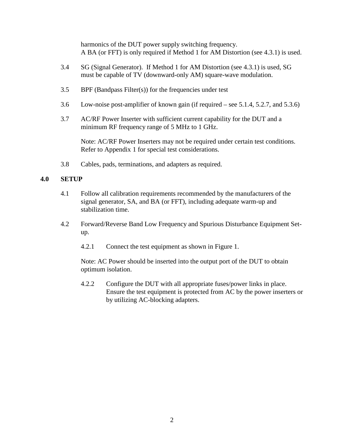harmonics of the DUT power supply switching frequency. A BA (or FFT) is only required if Method 1 for AM Distortion (see 4.3.1) is used.

- 3.4 SG (Signal Generator). If Method 1 for AM Distortion (see 4.3.1) is used, SG must be capable of TV (downward-only AM) square-wave modulation.
- 3.5 BPF (Bandpass Filter(s)) for the frequencies under test
- 3.6 Low-noise post-amplifier of known gain (if required see 5.1.4, 5.2.7, and 5.3.6)
- 3.7 AC/RF Power Inserter with sufficient current capability for the DUT and a minimum RF frequency range of 5 MHz to 1 GHz.

Note: AC/RF Power Inserters may not be required under certain test conditions. Refer to Appendix 1 for special test considerations.

3.8 Cables, pads, terminations, and adapters as required.

#### **4.0 SETUP**

- 4.1 Follow all calibration requirements recommended by the manufacturers of the signal generator, SA, and BA (or FFT), including adequate warm-up and stabilization time.
- 4.2 Forward/Reverse Band Low Frequency and Spurious Disturbance Equipment Setup.
	- 4.2.1 Connect the test equipment as shown in Figure 1.

Note: AC Power should be inserted into the output port of the DUT to obtain optimum isolation.

4.2.2 Configure the DUT with all appropriate fuses/power links in place. Ensure the test equipment is protected from AC by the power inserters or by utilizing AC-blocking adapters.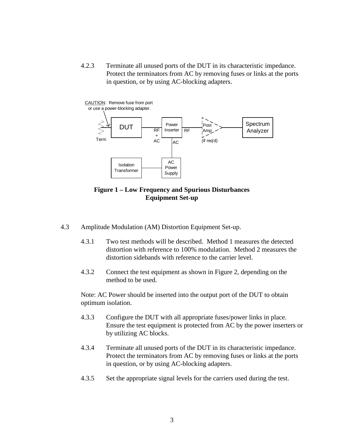4.2.3 Terminate all unused ports of the DUT in its characteristic impedance. Protect the terminators from AC by removing fuses or links at the ports in question, or by using AC-blocking adapters.



**Figure 1 – Low Frequency and Spurious Disturbances Equipment Set-up**

- 4.3 Amplitude Modulation (AM) Distortion Equipment Set-up.
	- 4.3.1 Two test methods will be described. Method 1 measures the detected distortion with reference to 100% modulation. Method 2 measures the distortion sidebands with reference to the carrier level.
	- 4.3.2 Connect the test equipment as shown in Figure 2, depending on the method to be used.

Note: AC Power should be inserted into the output port of the DUT to obtain optimum isolation.

- 4.3.3 Configure the DUT with all appropriate fuses/power links in place. Ensure the test equipment is protected from AC by the power inserters or by utilizing AC blocks.
- 4.3.4 Terminate all unused ports of the DUT in its characteristic impedance. Protect the terminators from AC by removing fuses or links at the ports in question, or by using AC-blocking adapters.
- 4.3.5 Set the appropriate signal levels for the carriers used during the test.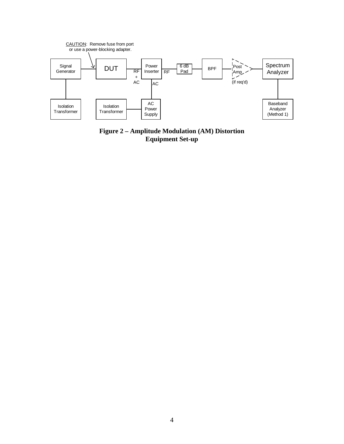

**Figure 2 – Amplitude Modulation (AM) Distortion Equipment Set-up**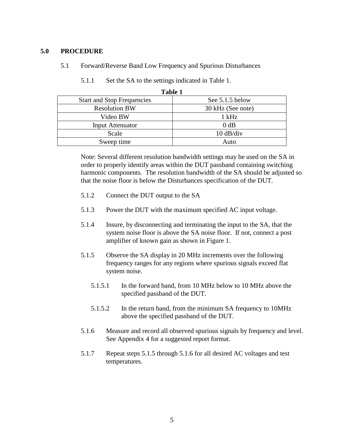#### **5.0 PROCEDURE**

#### 5.1 Forward/Reverse Band Low Frequency and Spurious Disturbances

5.1.1 Set the SA to the settings indicated in Table 1.

|                                   | <b>Table 1</b>             |
|-----------------------------------|----------------------------|
| <b>Start and Stop Frequencies</b> | See 5.1.5 below            |
| <b>Resolution BW</b>              | 30 kHz (See note)          |
| Video BW                          | 1 kHz                      |
| <b>Input Attenuator</b>           | 0 dB                       |
| Scale                             | $10 \text{ dB}/\text{div}$ |
| Sweep time                        | Auto                       |

Note: Several different resolution bandwidth settings may be used on the SA in order to properly identify areas within the DUT passband containing switching harmonic components. The resolution bandwidth of the SA should be adjusted so that the noise floor is below the Disturbances specification of the DUT.

- 5.1.2 Connect the DUT output to the SA
- 5.1.3 Power the DUT with the maximum specified AC input voltage.
- 5.1.4 Insure, by disconnecting and terminating the input to the SA, that the system noise floor is above the SA noise floor. If not, connect a post amplifier of known gain as shown in Figure 1.
- 5.1.5 Observe the SA display in 20 MHz increments over the following frequency ranges for any regions where spurious signals exceed flat system noise.
	- 5.1.5.1 In the forward band, from 10 MHz below to 10 MHz above the specified passband of the DUT.
	- 5.1.5.2 In the return band, from the minimum SA frequency to 10MHz above the specified passband of the DUT.
- 5.1.6 Measure and record all observed spurious signals by frequency and level. See Appendix 4 for a suggested report format.
- 5.1.7 Repeat steps 5.1.5 through 5.1.6 for all desired AC voltages and test temperatures.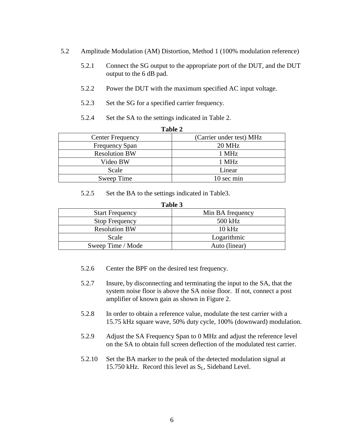- 5.2 Amplitude Modulation (AM) Distortion, Method 1 (100% modulation reference)
	- 5.2.1 Connect the SG output to the appropriate port of the DUT, and the DUT output to the 6 dB pad.
	- 5.2.2 Power the DUT with the maximum specified AC input voltage.
	- 5.2.3 Set the SG for a specified carrier frequency.
	- 5.2.4 Set the SA to the settings indicated in Table 2.

|                         | Table 2                  |
|-------------------------|--------------------------|
| <b>Center Frequency</b> | (Carrier under test) MHz |
| <b>Frequency Span</b>   | 20 MHz                   |
| <b>Resolution BW</b>    | 1 MHz                    |
| Video BW                | 1 MHz                    |
| Scale                   | Linear                   |
| Sweep Time              | 10 sec min               |

5.2.5 Set the BA to the settings indicated in Table3.

| ۱<br>I<br>n |  |
|-------------|--|
|-------------|--|

| <b>Start Frequency</b> | Min BA frequency |
|------------------------|------------------|
| <b>Stop Frequency</b>  | 500 kHz          |
| <b>Resolution BW</b>   | $10$ kHz         |
| Scale                  | Logarithmic      |
| Sweep Time / Mode      | Auto (linear)    |

- 5.2.6 Center the BPF on the desired test frequency.
- 5.2.7 Insure, by disconnecting and terminating the input to the SA, that the system noise floor is above the SA noise floor. If not, connect a post amplifier of known gain as shown in Figure 2.
- 5.2.8 In order to obtain a reference value, modulate the test carrier with a 15.75 kHz square wave, 50% duty cycle, 100% (downward) modulation.
- 5.2.9 Adjust the SA Frequency Span to 0 MHz and adjust the reference level on the SA to obtain full screen deflection of the modulated test carrier.
- 5.2.10 Set the BA marker to the peak of the detected modulation signal at 15.750 kHz. Record this level as  $S_L$ , Sideband Level.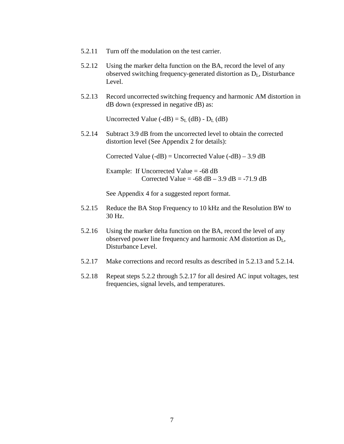- 5.2.11 Turn off the modulation on the test carrier.
- 5.2.12 Using the marker delta function on the BA, record the level of any observed switching frequency-generated distortion as DL, Disturbance Level.
- 5.2.13 Record uncorrected switching frequency and harmonic AM distortion in dB down (expressed in negative dB) as:

Uncorrected Value  $(-dB) = S_L(dB) - D_L(dB)$ 

5.2.14 Subtract 3.9 dB from the uncorrected level to obtain the corrected distortion level (See Appendix 2 for details):

Corrected Value  $(-dB)$  = Uncorrected Value  $(-dB)$  – 3.9 dB

Example: If Uncorrected Value = -68 dB Corrected Value =  $-68$  dB  $- 3.9$  dB =  $-71.9$  dB

See Appendix 4 for a suggested report format.

- 5.2.15 Reduce the BA Stop Frequency to 10 kHz and the Resolution BW to 30 Hz.
- 5.2.16 Using the marker delta function on the BA, record the level of any observed power line frequency and harmonic AM distortion as DL, Disturbance Level.
- 5.2.17 Make corrections and record results as described in 5.2.13 and 5.2.14.
- 5.2.18 Repeat steps 5.2.2 through 5.2.17 for all desired AC input voltages, test frequencies, signal levels, and temperatures.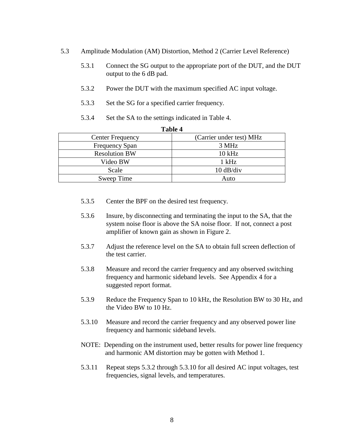- 5.3 Amplitude Modulation (AM) Distortion, Method 2 (Carrier Level Reference)
	- 5.3.1 Connect the SG output to the appropriate port of the DUT, and the DUT output to the 6 dB pad.
	- 5.3.2 Power the DUT with the maximum specified AC input voltage.
	- 5.3.3 Set the SG for a specified carrier frequency.
	- 5.3.4 Set the SA to the settings indicated in Table 4.

| Table 4                 |                          |  |  |  |
|-------------------------|--------------------------|--|--|--|
| <b>Center Frequency</b> | (Carrier under test) MHz |  |  |  |
| <b>Frequency Span</b>   | 3 MHz                    |  |  |  |
| <b>Resolution BW</b>    | $10$ kHz                 |  |  |  |
| Video BW                | 1 kHz                    |  |  |  |
| Scale                   | $10$ dB/div              |  |  |  |
| Sweep Time              | Auto                     |  |  |  |

- 5.3.5 Center the BPF on the desired test frequency.
- 5.3.6 Insure, by disconnecting and terminating the input to the SA, that the system noise floor is above the SA noise floor. If not, connect a post amplifier of known gain as shown in Figure 2.
- 5.3.7 Adjust the reference level on the SA to obtain full screen deflection of the test carrier.
- 5.3.8 Measure and record the carrier frequency and any observed switching frequency and harmonic sideband levels. See Appendix 4 for a suggested report format.
- 5.3.9 Reduce the Frequency Span to 10 kHz, the Resolution BW to 30 Hz, and the Video BW to 10 Hz.
- 5.3.10 Measure and record the carrier frequency and any observed power line frequency and harmonic sideband levels.
- NOTE: Depending on the instrument used, better results for power line frequency and harmonic AM distortion may be gotten with Method 1.
- 5.3.11 Repeat steps 5.3.2 through 5.3.10 for all desired AC input voltages, test frequencies, signal levels, and temperatures.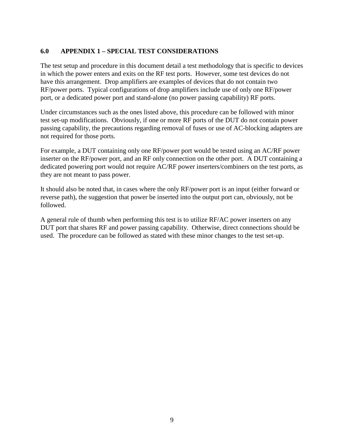### **6.0 APPENDIX 1 – SPECIAL TEST CONSIDERATIONS**

The test setup and procedure in this document detail a test methodology that is specific to devices in which the power enters and exits on the RF test ports. However, some test devices do not have this arrangement. Drop amplifiers are examples of devices that do not contain two RF/power ports. Typical configurations of drop amplifiers include use of only one RF/power port, or a dedicated power port and stand-alone (no power passing capability) RF ports.

Under circumstances such as the ones listed above, this procedure can be followed with minor test set-up modifications. Obviously, if one or more RF ports of the DUT do not contain power passing capability, the precautions regarding removal of fuses or use of AC-blocking adapters are not required for those ports.

For example, a DUT containing only one RF/power port would be tested using an AC/RF power inserter on the RF/power port, and an RF only connection on the other port. A DUT containing a dedicated powering port would not require AC/RF power inserters/combiners on the test ports, as they are not meant to pass power.

It should also be noted that, in cases where the only RF/power port is an input (either forward or reverse path), the suggestion that power be inserted into the output port can, obviously, not be followed.

A general rule of thumb when performing this test is to utilize RF/AC power inserters on any DUT port that shares RF and power passing capability. Otherwise, direct connections should be used. The procedure can be followed as stated with these minor changes to the test set-up.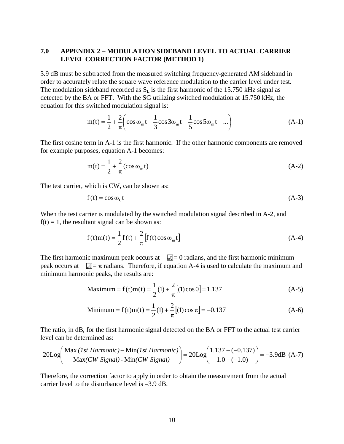#### **7.0 APPENDIX 2 – MODULATION SIDEBAND LEVEL TO ACTUAL CARRIER LEVEL CORRECTION FACTOR (METHOD 1)**

3.9 dB must be subtracted from the measured switching frequency-generated AM sideband in order to accurately relate the square wave reference modulation to the carrier level under test. The modulation sideband recorded as  $S_L$  is the first harmonic of the 15.750 kHz signal as detected by the BA or FFT. With the SG utilizing switched modulation at 15.750 kHz, the equation for this switched modulation signal is:

$$
m(t) = \frac{1}{2} + \frac{2}{\pi} \left( \cos \omega_m t - \frac{1}{3} \cos 3\omega_m t + \frac{1}{5} \cos 5\omega_m t - \dots \right)
$$
 (A-1)

The first cosine term in A-1 is the first harmonic. If the other harmonic components are removed for example purposes, equation A-1 becomes:

$$
m(t) = \frac{1}{2} + \frac{2}{\pi} (\cos \omega_m t)
$$
 (A-2)

The test carrier, which is CW, can be shown as:

$$
f(t) = \cos \omega_c t \tag{A-3}
$$

When the test carrier is modulated by the switched modulation signal described in A-2, and  $f(t) = 1$ , the resultant signal can be shown as:

$$
f(t)m(t) = \frac{1}{2}f(t) + \frac{2}{\pi} [f(t)\cos\omega_m t]
$$
 (A-4)

The first harmonic maximum peak occurs at  $\pi t = 0$  radians, and the first harmonic minimum peak occurs at  $\pi = \pi$  radians. Therefore, if equation A-4 is used to calculate the maximum and minimum harmonic peaks, the results are:

Maximum = f(t)m(t) = 
$$
\frac{1}{2}
$$
(1) +  $\frac{2}{\pi}$ [(1) cos 0] = 1.137 (A-5)

Minimum = f(t)m(t) = 
$$
\frac{1}{2}
$$
(1) +  $\frac{2}{\pi}$ [(1) cos  $\pi$ ] = -0.137 (A-6)

The ratio, in dB, for the first harmonic signal detected on the BA or FFT to the actual test carrier level can be determined as:

$$
20\text{Log}\left(\frac{\text{Max}(1st\text{ Harmonic}) - \text{Min}(1st\text{ Harmonic})}{\text{Max}(CW\text{ Signal}) - \text{Min}(CW\text{ Signal})}\right) = 20\text{Log}\left(\frac{1.137 - (-0.137)}{1.0 - (-1.0)}\right) = -3.9\text{dB (A-7)}
$$

Therefore, the correction factor to apply in order to obtain the measurement from the actual carrier level to the disturbance level is –3.9 dB.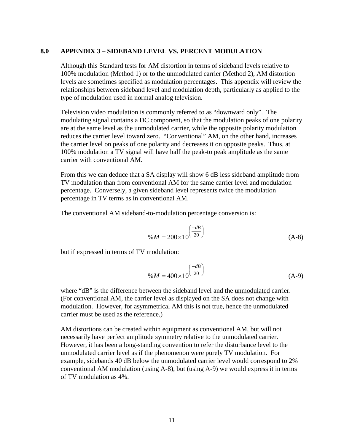#### **8.0 APPENDIX 3 – SIDEBAND LEVEL VS. PERCENT MODULATION**

Although this Standard tests for AM distortion in terms of sideband levels relative to 100% modulation (Method 1) or to the unmodulated carrier (Method 2), AM distortion levels are sometimes specified as modulation percentages. This appendix will review the relationships between sideband level and modulation depth, particularly as applied to the type of modulation used in normal analog television.

Television video modulation is commonly referred to as "downward only". The modulating signal contains a DC component, so that the modulation peaks of one polarity are at the same level as the unmodulated carrier, while the opposite polarity modulation reduces the carrier level toward zero. "Conventional" AM, on the other hand, increases the carrier level on peaks of one polarity and decreases it on opposite peaks. Thus, at 100% modulation a TV signal will have half the peak-to peak amplitude as the same carrier with conventional AM.

From this we can deduce that a SA display will show 6 dB less sideband amplitude from TV modulation than from conventional AM for the same carrier level and modulation percentage. Conversely, a given sideband level represents twice the modulation percentage in TV terms as in conventional AM.

The conventional AM sideband-to-modulation percentage conversion is:

$$
\%M = 200 \times 10^{\left(\frac{-dB}{20}\right)}\tag{A-8}
$$

but if expressed in terms of TV modulation:

$$
\%M = 400 \times 10^{\left(\frac{-dB}{20}\right)}\tag{A-9}
$$

where "dB" is the difference between the sideband level and the unmodulated carrier. (For conventional AM, the carrier level as displayed on the SA does not change with modulation. However, for asymmetrical AM this is not true, hence the unmodulated carrier must be used as the reference.)

AM distortions can be created within equipment as conventional AM, but will not necessarily have perfect amplitude symmetry relative to the unmodulated carrier. However, it has been a long-standing convention to refer the disturbance level to the unmodulated carrier level as if the phenomenon were purely TV modulation. For example, sidebands 40 dB below the unmodulated carrier level would correspond to 2% conventional AM modulation (using A-8), but (using A-9) we would express it in terms of TV modulation as 4%.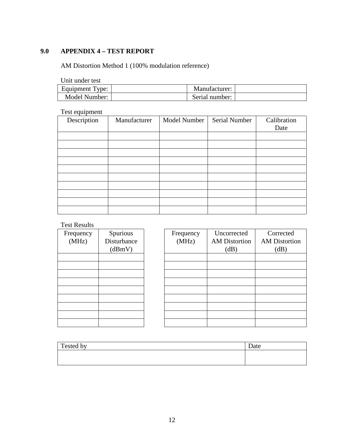## **9.0 APPENDIX 4 – TEST REPORT**

AM Distortion Method 1 (100% modulation reference)

Unit under test

| <b>CHILCOHOL</b> |  |                |  |  |  |
|------------------|--|----------------|--|--|--|
| Equipment Type:  |  | Manufacturer:  |  |  |  |
| Model Number:    |  | Serial number: |  |  |  |

Test equipment

| Description | Manufacturer | Model Number | Serial Number | Calibration |
|-------------|--------------|--------------|---------------|-------------|
|             |              |              |               | Date        |
|             |              |              |               |             |
|             |              |              |               |             |
|             |              |              |               |             |
|             |              |              |               |             |
|             |              |              |               |             |
|             |              |              |               |             |
|             |              |              |               |             |
|             |              |              |               |             |
|             |              |              |               |             |
|             |              |              |               |             |

#### Test Results

| Frequency<br>(MHz) | Spurious<br>Disturbance<br>(dBmV) | Frequency<br>(MHz) | Uncorrected<br><b>AM Distortion</b><br>(dB) | Corrected<br><b>AM Distortion</b><br>(dB) |
|--------------------|-----------------------------------|--------------------|---------------------------------------------|-------------------------------------------|
|                    |                                   |                    |                                             |                                           |
|                    |                                   |                    |                                             |                                           |
|                    |                                   |                    |                                             |                                           |
|                    |                                   |                    |                                             |                                           |
|                    |                                   |                    |                                             |                                           |
|                    |                                   |                    |                                             |                                           |
|                    |                                   |                    |                                             |                                           |
|                    |                                   |                    |                                             |                                           |
|                    |                                   |                    |                                             |                                           |

| Tested by | Date |
|-----------|------|
|           |      |
|           |      |